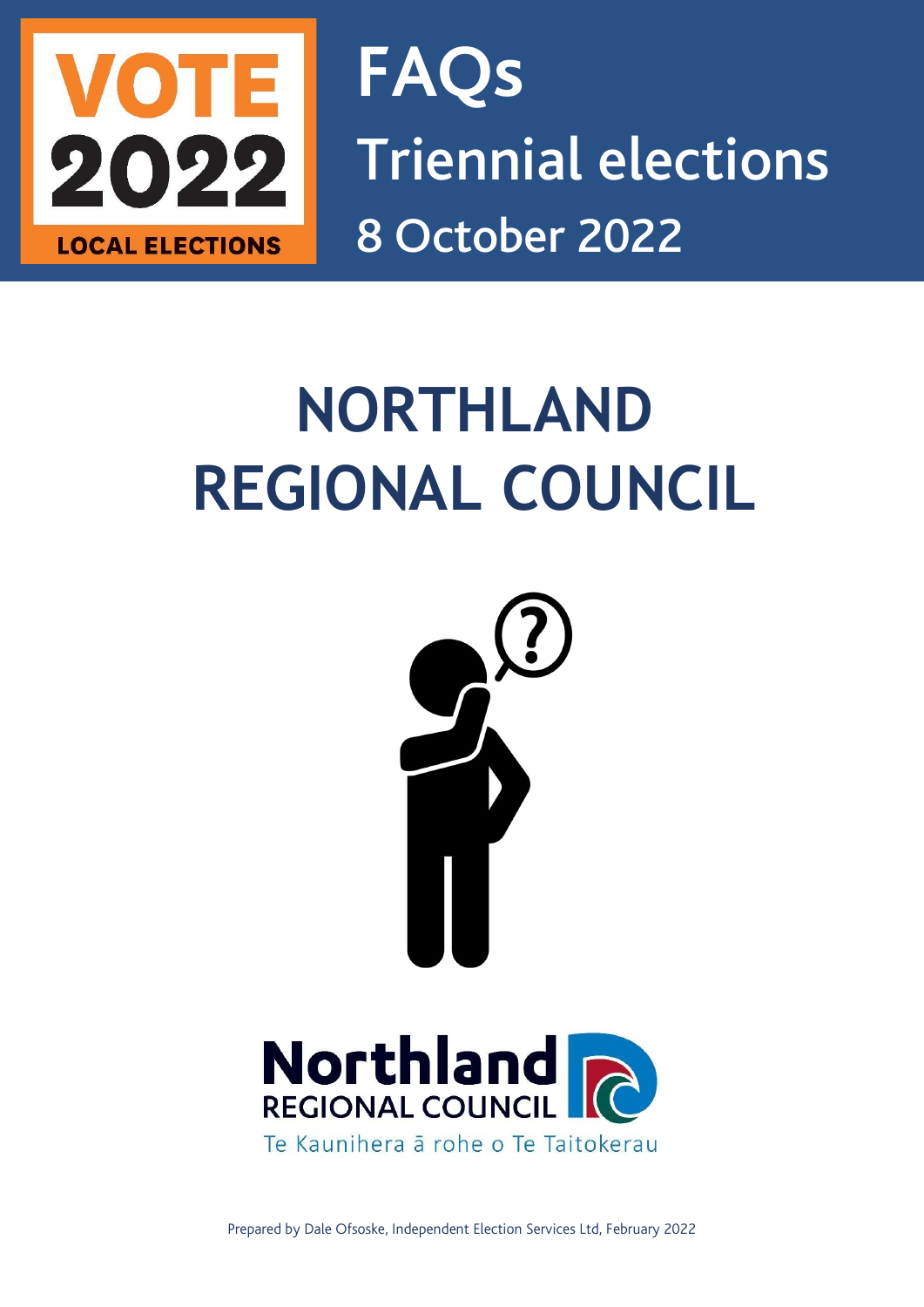

FAQs Triennial elections LOCAL ELECTIONS 8 October 2022

# NORTHLAND REGIONAL COUNCIL





Prepared by Dale Ofsoske, Independent Election Services Ltd, February 2022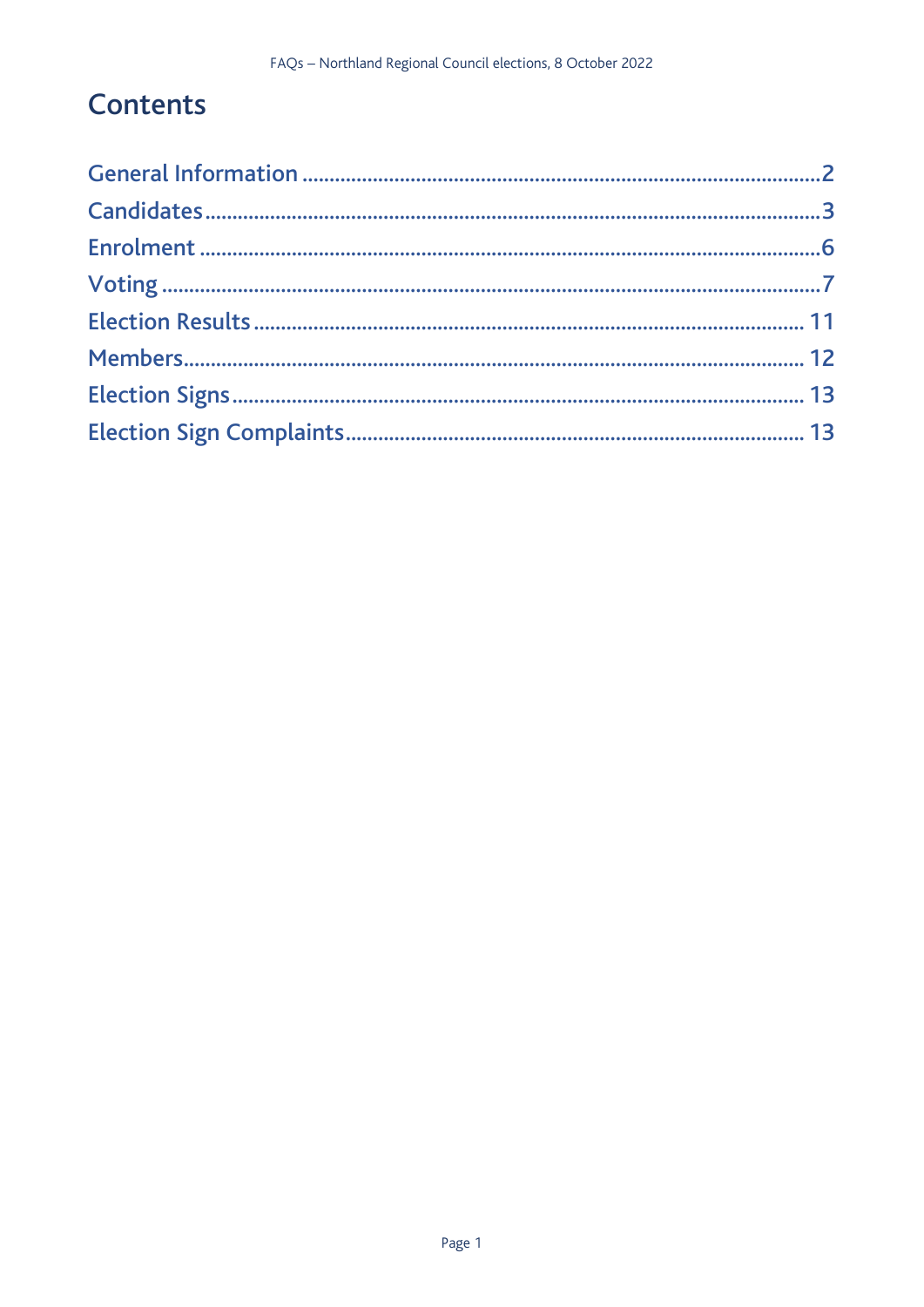## **Contents**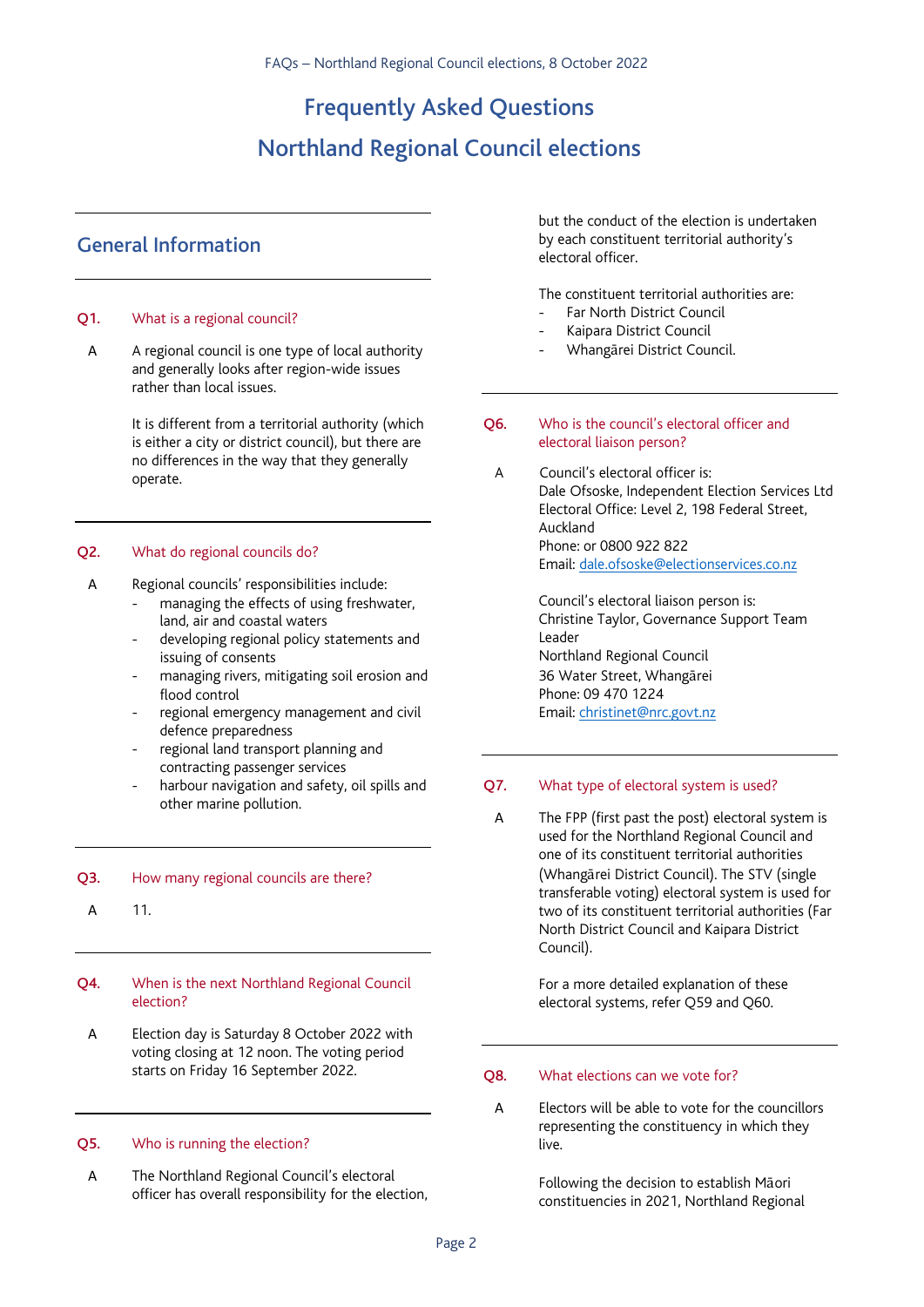Frequently Asked Questions

## Northland Regional Council elections

## General Information

#### Q1. What is a regional council?

A A regional council is one type of local authority and generally looks after region-wide issues rather than local issues.

> It is different from a territorial authority (which is either a city or district council), but there are no differences in the way that they generally operate.

#### Q2. What do regional councils do?

- A Regional councils' responsibilities include:
	- managing the effects of using freshwater, land, air and coastal waters
	- developing regional policy statements and issuing of consents
	- managing rivers, mitigating soil erosion and flood control
	- regional emergency management and civil defence preparedness
	- regional land transport planning and contracting passenger services
	- harbour navigation and safety, oil spills and other marine pollution.

#### Q3. How many regional councils are there?

A 11.

#### Q4. When is the next Northland Regional Council election?

A Election day is Saturday 8 October 2022 with voting closing at 12 noon. The voting period starts on Friday 16 September 2022.

#### Q5. Who is running the election?

A The Northland Regional Council's electoral officer has overall responsibility for the election, but the conduct of the election is undertaken by each constituent territorial authority's electoral officer.

The constituent territorial authorities are:

- Far North District Council
- Kaipara District Council
- Whangārei District Council.
- Q6. Who is the council's electoral officer and electoral liaison person?
- A Council's electoral officer is: Dale Ofsoske, Independent Election Services Ltd Electoral Office: Level 2, 198 Federal Street, Auckland Phone: or 0800 922 822 Email: dale.ofsoske@electionservices.co.nz

Council's electoral liaison person is: Christine Taylor, Governance Support Team Leader Northland Regional Council 36 Water Street, Whangārei Phone: 09 470 1224 Email: christinet@nrc.govt.nz

#### Q7. What type of electoral system is used?

A The FPP (first past the post) electoral system is used for the Northland Regional Council and one of its constituent territorial authorities (Whangārei District Council). The STV (single transferable voting) electoral system is used for two of its constituent territorial authorities (Far North District Council and Kaipara District Council).

> For a more detailed explanation of these electoral systems, refer Q59 and Q60.

#### Q8. What elections can we vote for?

A Electors will be able to vote for the councillors representing the constituency in which they live.

> Following the decision to establish Māori constituencies in 2021, Northland Regional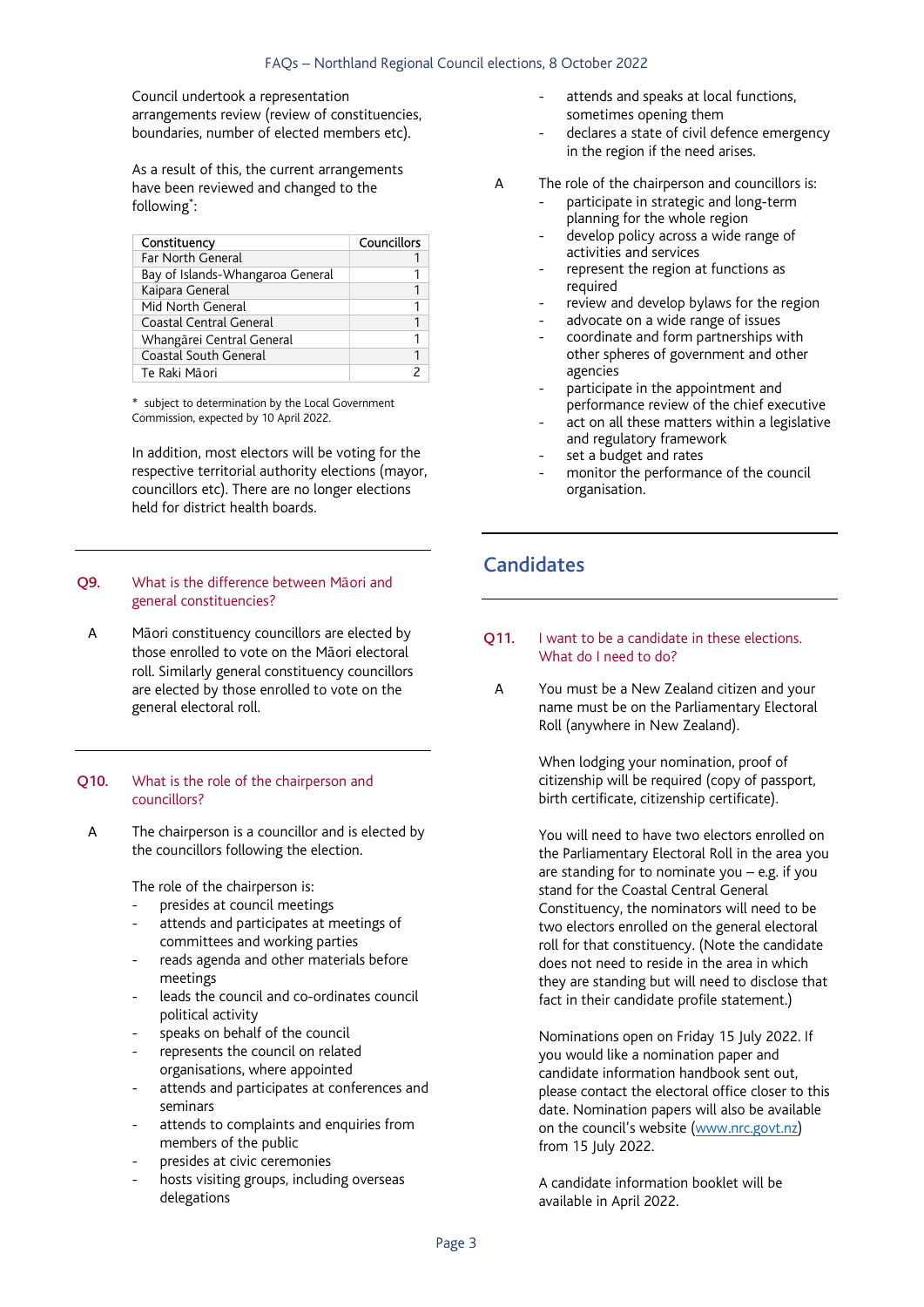Council undertook a representation arrangements review (review of constituencies, boundaries, number of elected members etc).

As a result of this, the current arrangements have been reviewed and changed to the following\* :

| Constituency                     | Councillors |
|----------------------------------|-------------|
| Far North General                |             |
| Bay of Islands-Whangaroa General |             |
| Kaipara General                  |             |
| Mid North General                |             |
| Coastal Central General          |             |
| Whangārei Central General        |             |
| Coastal South General            |             |
| Te Raki Māori                    |             |

\* subject to determination by the Local Government Commission, expected by 10 April 2022.

In addition, most electors will be voting for the respective territorial authority elections (mayor, councillors etc). There are no longer elections held for district health boards.

#### Q9. What is the difference between Māori and general constituencies?

A Māori constituency councillors are elected by those enrolled to vote on the Māori electoral roll. Similarly general constituency councillors are elected by those enrolled to vote on the general electoral roll.

#### Q10. What is the role of the chairperson and councillors?

A The chairperson is a councillor and is elected by the councillors following the election.

The role of the chairperson is:

- presides at council meetings
- attends and participates at meetings of committees and working parties
- reads agenda and other materials before meetings
- leads the council and co-ordinates council political activity
- speaks on behalf of the council
- represents the council on related organisations, where appointed
- attends and participates at conferences and seminars
- attends to complaints and enquiries from members of the public
- presides at civic ceremonies
- hosts visiting groups, including overseas delegations
- attends and speaks at local functions. sometimes opening them
- declares a state of civil defence emergency in the region if the need arises.
- A The role of the chairperson and councillors is:
	- participate in strategic and long-term planning for the whole region
	- develop policy across a wide range of activities and services
	- represent the region at functions as required
	- review and develop bylaws for the region
	- advocate on a wide range of issues
	- coordinate and form partnerships with other spheres of government and other agencies
	- participate in the appointment and performance review of the chief executive
	- act on all these matters within a legislative and regulatory framework
	- set a budget and rates
	- monitor the performance of the council organisation.

## Candidates

#### Q11. I want to be a candidate in these elections. What do I need to do?

A You must be a New Zealand citizen and your name must be on the Parliamentary Electoral Roll (anywhere in New Zealand).

> When lodging your nomination, proof of citizenship will be required (copy of passport, birth certificate, citizenship certificate).

You will need to have two electors enrolled on the Parliamentary Electoral Roll in the area you are standing for to nominate you – e.g. if you stand for the Coastal Central General Constituency, the nominators will need to be two electors enrolled on the general electoral roll for that constituency. (Note the candidate does not need to reside in the area in which they are standing but will need to disclose that fact in their candidate profile statement.)

Nominations open on Friday 15 July 2022. If you would like a nomination paper and candidate information handbook sent out, please contact the electoral office closer to this date. Nomination papers will also be available on the council's website (www.nrc.govt.nz) from 15 July 2022.

A candidate information booklet will be available in April 2022.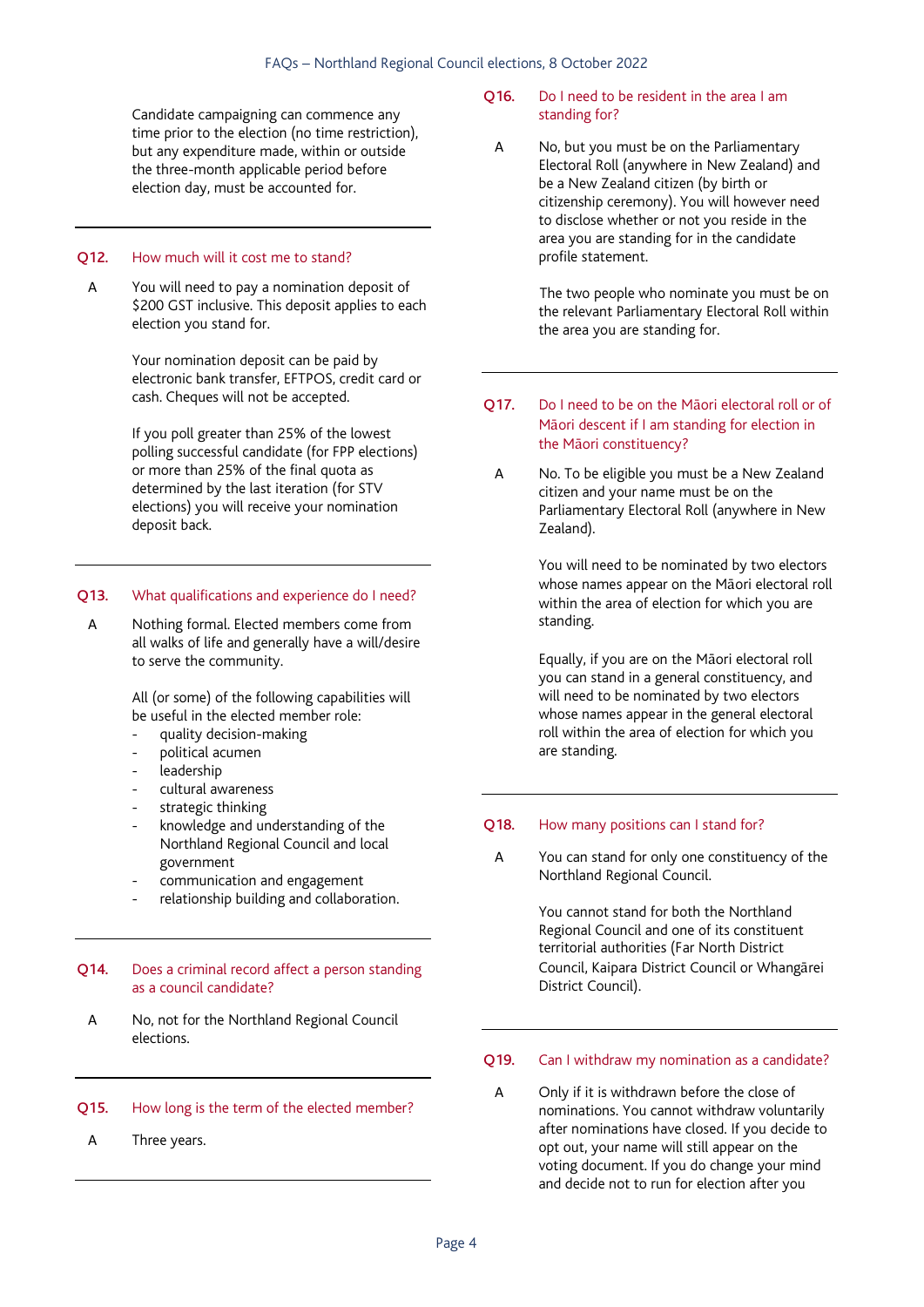Candidate campaigning can commence any time prior to the election (no time restriction), but any expenditure made, within or outside the three-month applicable period before election day, must be accounted for.

#### Q12. How much will it cost me to stand?

A You will need to pay a nomination deposit of \$200 GST inclusive. This deposit applies to each election you stand for.

> Your nomination deposit can be paid by electronic bank transfer, EFTPOS, credit card or cash. Cheques will not be accepted.

If you poll greater than 25% of the lowest polling successful candidate (for FPP elections) or more than 25% of the final quota as determined by the last iteration (for STV elections) you will receive your nomination deposit back.

#### Q13. What qualifications and experience do I need?

A Nothing formal. Elected members come from all walks of life and generally have a will/desire to serve the community.

> All (or some) of the following capabilities will be useful in the elected member role:

- quality decision-making
- political acumen
- leadership
- cultural awareness
- strategic thinking
- knowledge and understanding of the Northland Regional Council and local government
- communication and engagement
- relationship building and collaboration.

#### Q14. Does a criminal record affect a person standing as a council candidate?

A No, not for the Northland Regional Council elections.

#### Q15. How long is the term of the elected member?

A Three years.

#### Q16. Do I need to be resident in the area I am standing for?

A No, but you must be on the Parliamentary Electoral Roll (anywhere in New Zealand) and be a New Zealand citizen (by birth or citizenship ceremony). You will however need to disclose whether or not you reside in the area you are standing for in the candidate profile statement.

> The two people who nominate you must be on the relevant Parliamentary Electoral Roll within the area you are standing for.

- Q17. Do I need to be on the Māori electoral roll or of Māori descent if I am standing for election in the Māori constituency?
	- A No. To be eligible you must be a New Zealand citizen and your name must be on the Parliamentary Electoral Roll (anywhere in New Zealand).

You will need to be nominated by two electors whose names appear on the Māori electoral roll within the area of election for which you are standing.

Equally, if you are on the Māori electoral roll you can stand in a general constituency, and will need to be nominated by two electors whose names appear in the general electoral roll within the area of election for which you are standing.

#### Q18. How many positions can I stand for?

A You can stand for only one constituency of the Northland Regional Council.

> You cannot stand for both the Northland Regional Council and one of its constituent territorial authorities (Far North District Council, Kaipara District Council or Whangārei District Council).

#### Q19. Can I withdraw my nomination as a candidate?

A Only if it is withdrawn before the close of nominations. You cannot withdraw voluntarily after nominations have closed. If you decide to opt out, your name will still appear on the voting document. If you do change your mind and decide not to run for election after you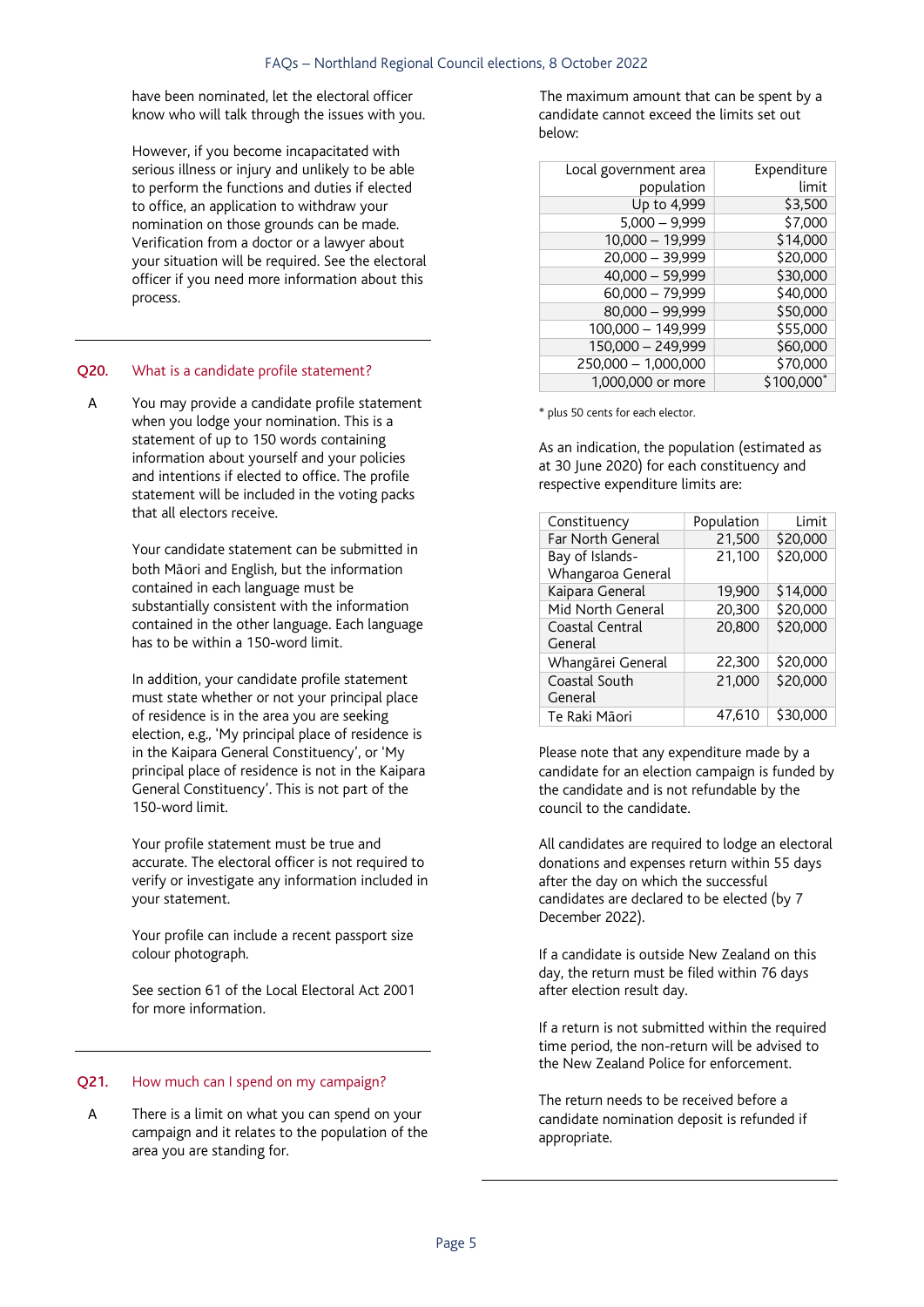have been nominated, let the electoral officer know who will talk through the issues with you.

However, if you become incapacitated with serious illness or injury and unlikely to be able to perform the functions and duties if elected to office, an application to withdraw your nomination on those grounds can be made. Verification from a doctor or a lawyer about your situation will be required. See the electoral officer if you need more information about this process.

#### Q20. What is a candidate profile statement?

A You may provide a candidate profile statement when you lodge your nomination. This is a statement of up to 150 words containing information about yourself and your policies and intentions if elected to office. The profile statement will be included in the voting packs that all electors receive.

> Your candidate statement can be submitted in both Māori and English, but the information contained in each language must be substantially consistent with the information contained in the other language. Each language has to be within a 150-word limit.

> In addition, your candidate profile statement must state whether or not your principal place of residence is in the area you are seeking election, e.g., 'My principal place of residence is in the Kaipara General Constituency', or 'My principal place of residence is not in the Kaipara General Constituency'. This is not part of the 150-word limit.

> Your profile statement must be true and accurate. The electoral officer is not required to verify or investigate any information included in your statement.

Your profile can include a recent passport size colour photograph.

See section 61 of the Local Electoral Act 2001 for more information.

#### Q21. How much can I spend on my campaign?

A There is a limit on what you can spend on your campaign and it relates to the population of the area you are standing for.

 The maximum amount that can be spent by a candidate cannot exceed the limits set out below:

| Local government area | Expenditure |
|-----------------------|-------------|
| population            | limit       |
| Up to 4,999           | \$3,500     |
| $5,000 - 9,999$       | \$7,000     |
| $10,000 - 19,999$     | \$14,000    |
| 20,000 - 39,999       | \$20,000    |
| $40,000 - 59,999$     | \$30,000    |
| 60,000 - 79,999       | \$40,000    |
| 80,000 - 99,999       | \$50,000    |
| 100,000 - 149,999     | \$55,000    |
| 150,000 - 249,999     | \$60,000    |
| 250,000 - 1,000,000   | \$70,000    |
| 1,000,000 or more     | \$100,000*  |

\* plus 50 cents for each elector.

As an indication, the population (estimated as at 30 June 2020) for each constituency and respective expenditure limits are:

| Constituency      | Population | Limit    |
|-------------------|------------|----------|
| Far North General | 21,500     | \$20,000 |
| Bay of Islands-   | 21,100     | \$20,000 |
| Whangaroa General |            |          |
| Kaipara General   | 19,900     | \$14,000 |
| Mid North General | 20,300     | \$20,000 |
| Coastal Central   | 20,800     | \$20,000 |
| General           |            |          |
| Whangārei General | 22.300     | \$20,000 |
| Coastal South     | 21,000     | \$20,000 |
| General           |            |          |
| Te Raki Māori     | 47.610     | \$30,000 |

Please note that any expenditure made by a candidate for an election campaign is funded by the candidate and is not refundable by the council to the candidate.

All candidates are required to lodge an electoral donations and expenses return within 55 days after the day on which the successful candidates are declared to be elected (by 7 December 2022).

If a candidate is outside New Zealand on this day, the return must be filed within 76 days after election result day.

If a return is not submitted within the required time period, the non-return will be advised to the New Zealand Police for enforcement.

The return needs to be received before a candidate nomination deposit is refunded if appropriate.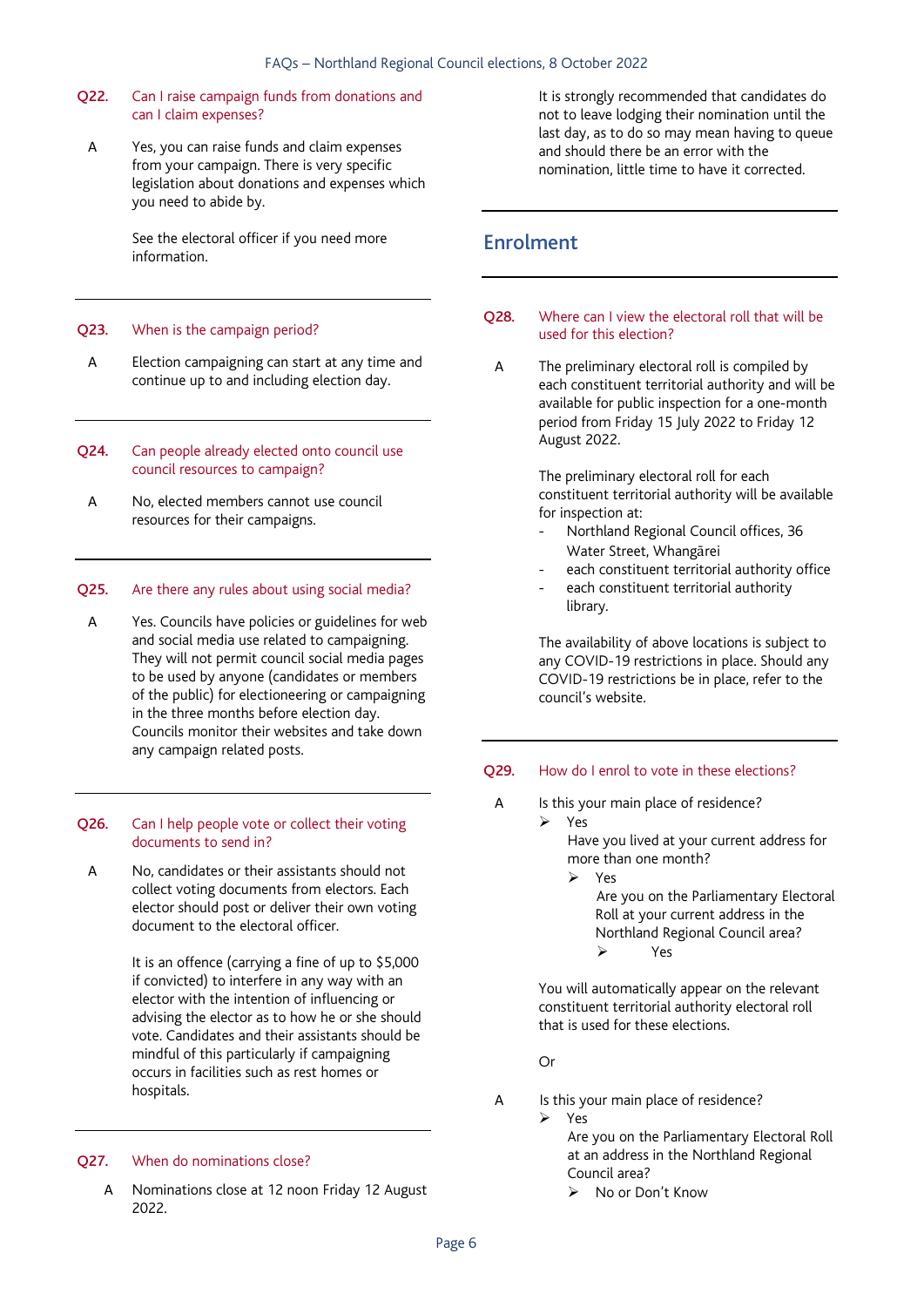#### Q22. Can I raise campaign funds from donations and can I claim expenses?

A Yes, you can raise funds and claim expenses from your campaign. There is very specific legislation about donations and expenses which you need to abide by.

> See the electoral officer if you need more information.

#### Q23. When is the campaign period?

- A Election campaigning can start at any time and continue up to and including election day.
- Q24. Can people already elected onto council use council resources to campaign?
- A No, elected members cannot use council resources for their campaigns.

#### Q25. Are there any rules about using social media?

A Yes. Councils have policies or guidelines for web and social media use related to campaigning. They will not permit council social media pages to be used by anyone (candidates or members of the public) for electioneering or campaigning in the three months before election day. Councils monitor their websites and take down any campaign related posts.

#### Q26. Can I help people vote or collect their voting documents to send in?

A No, candidates or their assistants should not collect voting documents from electors. Each elector should post or deliver their own voting document to the electoral officer.

> It is an offence (carrying a fine of up to \$5,000 if convicted) to interfere in any way with an elector with the intention of influencing or advising the elector as to how he or she should vote. Candidates and their assistants should be mindful of this particularly if campaigning occurs in facilities such as rest homes or hospitals.

#### Q27. When do nominations close?

A Nominations close at 12 noon Friday 12 August 2022.

It is strongly recommended that candidates do not to leave lodging their nomination until the last day, as to do so may mean having to queue and should there be an error with the nomination, little time to have it corrected.

### Enrolment

#### Q28. Where can I view the electoral roll that will be used for this election?

A The preliminary electoral roll is compiled by each constituent territorial authority and will be available for public inspection for a one-month period from Friday 15 July 2022 to Friday 12 August 2022.

> The preliminary electoral roll for each constituent territorial authority will be available for inspection at:

- Northland Regional Council offices, 36 Water Street, Whangārei
- each constituent territorial authority office
- each constituent territorial authority library.

The availability of above locations is subject to any COVID-19 restrictions in place. Should any COVID-19 restrictions be in place, refer to the council's website.

#### Q29. How do I enrol to vote in these elections?

- A Is this your main place of residence?
	- Yes Have you lived at your current address for

more than one month?

Yes

Are you on the Parliamentary Electoral Roll at your current address in the Northland Regional Council area? Yes

 You will automatically appear on the relevant constituent territorial authority electoral roll that is used for these elections.

Or

- A Is this your main place of residence?
	- Yes

Are you on the Parliamentary Electoral Roll at an address in the Northland Regional Council area? ▶ No or Don't Know

Page 6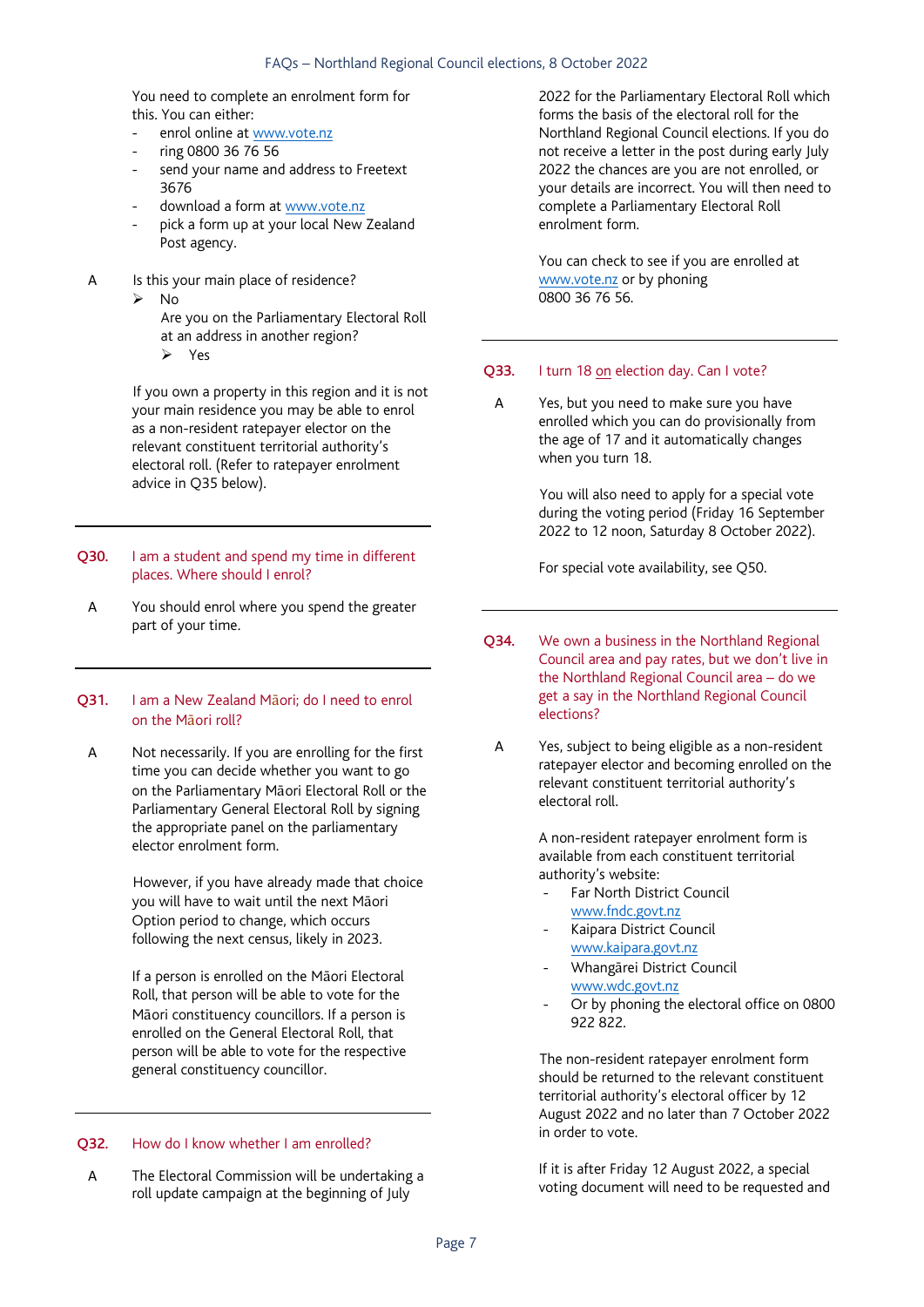#### FAQs – Northland Regional Council elections, 8 October 2022

You need to complete an enrolment form for this. You can either:

- enrol online at www.vote.nz
- ring 0800 36 76 56 send your name and address to Freetext 3676
- download a form at www.vote.nz
- pick a form up at your local New Zealand Post agency.
- A Is this your main place of residence?
	- $\triangleright$  No
		- Are you on the Parliamentary Electoral Roll at an address in another region?
		- Yes

 If you own a property in this region and it is not your main residence you may be able to enrol as a non-resident ratepayer elector on the relevant constituent territorial authority's electoral roll. (Refer to ratepayer enrolment advice in Q35 below).

#### Q30. I am a student and spend my time in different places. Where should I enrol?

A You should enrol where you spend the greater part of your time.

#### Q31. I am a New Zealand Māori; do I need to enrol on the Māori roll?

A Not necessarily. If you are enrolling for the first time you can decide whether you want to go on the Parliamentary Māori Electoral Roll or the Parliamentary General Electoral Roll by signing the appropriate panel on the parliamentary elector enrolment form.

> However, if you have already made that choice you will have to wait until the next Māori Option period to change, which occurs following the next census, likely in 2023.

If a person is enrolled on the Māori Electoral Roll, that person will be able to vote for the Māori constituency councillors. If a person is enrolled on the General Electoral Roll, that person will be able to vote for the respective general constituency councillor.

#### Q32. How do I know whether I am enrolled?

A The Electoral Commission will be undertaking a roll update campaign at the beginning of July

2022 for the Parliamentary Electoral Roll which forms the basis of the electoral roll for the Northland Regional Council elections. If you do not receive a letter in the post during early July 2022 the chances are you are not enrolled, or your details are incorrect. You will then need to complete a Parliamentary Electoral Roll enrolment form.

You can check to see if you are enrolled at www.vote.nz or by phoning 0800 36 76 56.

#### Q33. I turn 18 on election day. Can I vote?

A Yes, but you need to make sure you have enrolled which you can do provisionally from the age of 17 and it automatically changes when you turn 18.

> You will also need to apply for a special vote during the voting period (Friday 16 September 2022 to 12 noon, Saturday 8 October 2022).

For special vote availability, see Q50.

- Q34. We own a business in the Northland Regional Council area and pay rates, but we don't live in the Northland Regional Council area – do we get a say in the Northland Regional Council elections?
	- A Yes, subject to being eligible as a non-resident ratepayer elector and becoming enrolled on the relevant constituent territorial authority's electoral roll.

A non-resident ratepayer enrolment form is available from each constituent territorial authority's website:

- Far North District Council www.fndc.govt.nz
- Kaipara District Council www.kaipara.govt.nz
- Whangārei District Council www.wdc.govt.nz
- Or by phoning the electoral office on 0800 922 822.

 The non-resident ratepayer enrolment form should be returned to the relevant constituent territorial authority's electoral officer by 12 August 2022 and no later than 7 October 2022 in order to vote.

If it is after Friday 12 August 2022, a special voting document will need to be requested and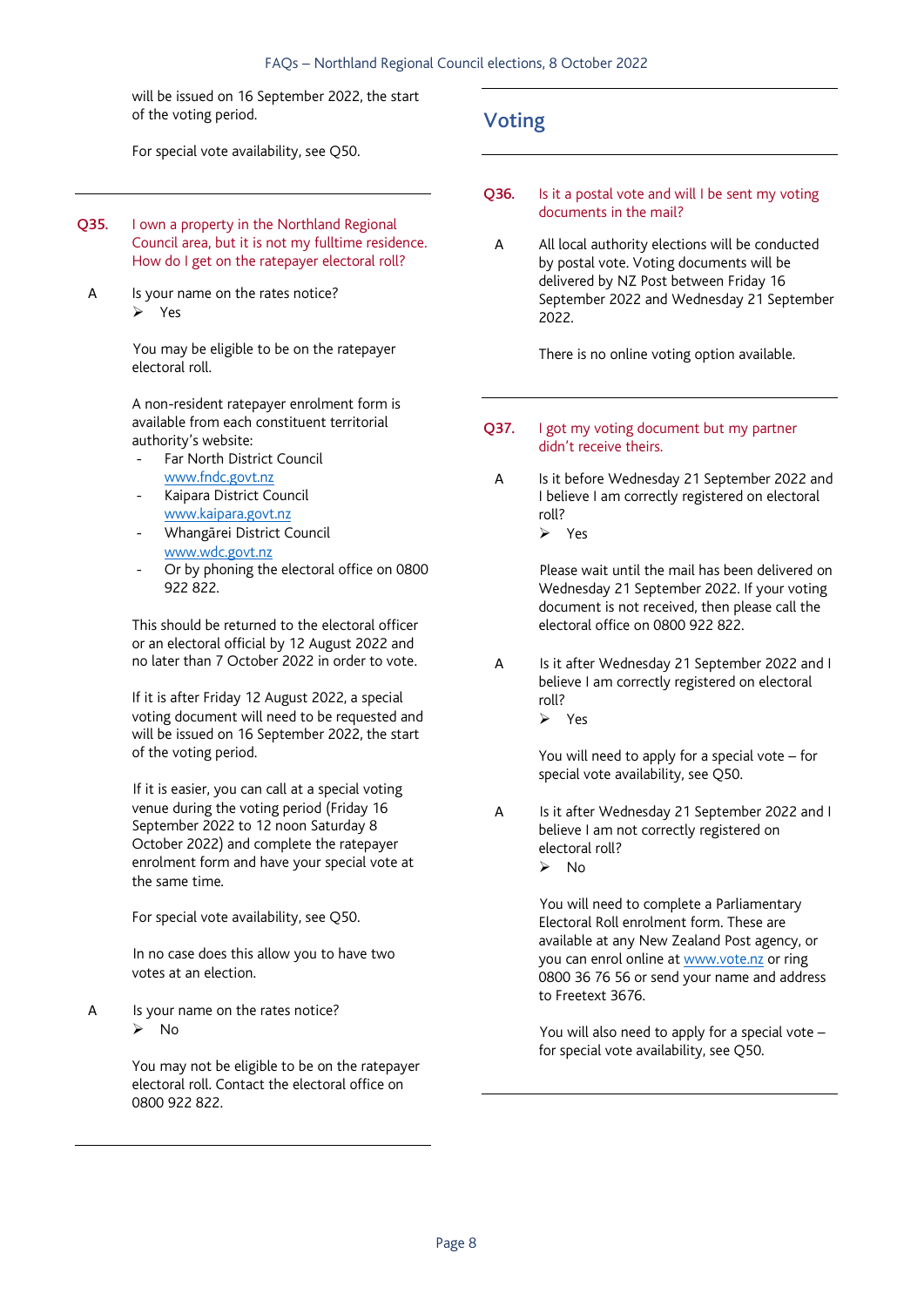will be issued on 16 September 2022, the start of the voting period.

For special vote availability, see Q50.

- Q35. I own a property in the Northland Regional Council area, but it is not my fulltime residence. How do I get on the ratepayer electoral roll?
- A Is your name on the rates notice? Yes

 You may be eligible to be on the ratepayer electoral roll.

A non-resident ratepayer enrolment form is available from each constituent territorial authority's website:

- Far North District Council www.fndc.govt.nz
- Kaipara District Council www.kaipara.govt.nz
- Whangārei District Council www.wdc.govt.nz
- Or by phoning the electoral office on 0800 922 822.

This should be returned to the electoral officer or an electoral official by 12 August 2022 and no later than 7 October 2022 in order to vote.

If it is after Friday 12 August 2022, a special voting document will need to be requested and will be issued on 16 September 2022, the start of the voting period.

 If it is easier, you can call at a special voting venue during the voting period (Friday 16 September 2022 to 12 noon Saturday 8 October 2022) and complete the ratepayer enrolment form and have your special vote at the same time.

For special vote availability, see Q50.

 In no case does this allow you to have two votes at an election.

A Is your name on the rates notice?  $\triangleright$  No

> You may not be eligible to be on the ratepayer electoral roll. Contact the electoral office on 0800 922 822.

## Voting

- Q36. Is it a postal vote and will I be sent my voting documents in the mail?
	- A All local authority elections will be conducted by postal vote. Voting documents will be delivered by NZ Post between Friday 16 September 2022 and Wednesday 21 September 2022.

There is no online voting option available.

- Q37. I got my voting document but my partner didn't receive theirs.
	- A Is it before Wednesday 21 September 2022 and I believe I am correctly registered on electoral roll? Yes

 Please wait until the mail has been delivered on Wednesday 21 September 2022. If your voting document is not received, then please call the electoral office on 0800 922 822.

A Is it after Wednesday 21 September 2022 and I believe I am correctly registered on electoral roll?

Yes

You will need to apply for a special vote – for special vote availability, see Q50.

A Is it after Wednesday 21 September 2022 and I believe I am not correctly registered on electoral roll?

 $\triangleright$  No

 You will need to complete a Parliamentary Electoral Roll enrolment form. These are available at any New Zealand Post agency, or you can enrol online at www.vote.nz or ring 0800 36 76 56 or send your name and address to Freetext 3676.

 You will also need to apply for a special vote – for special vote availability, see Q50.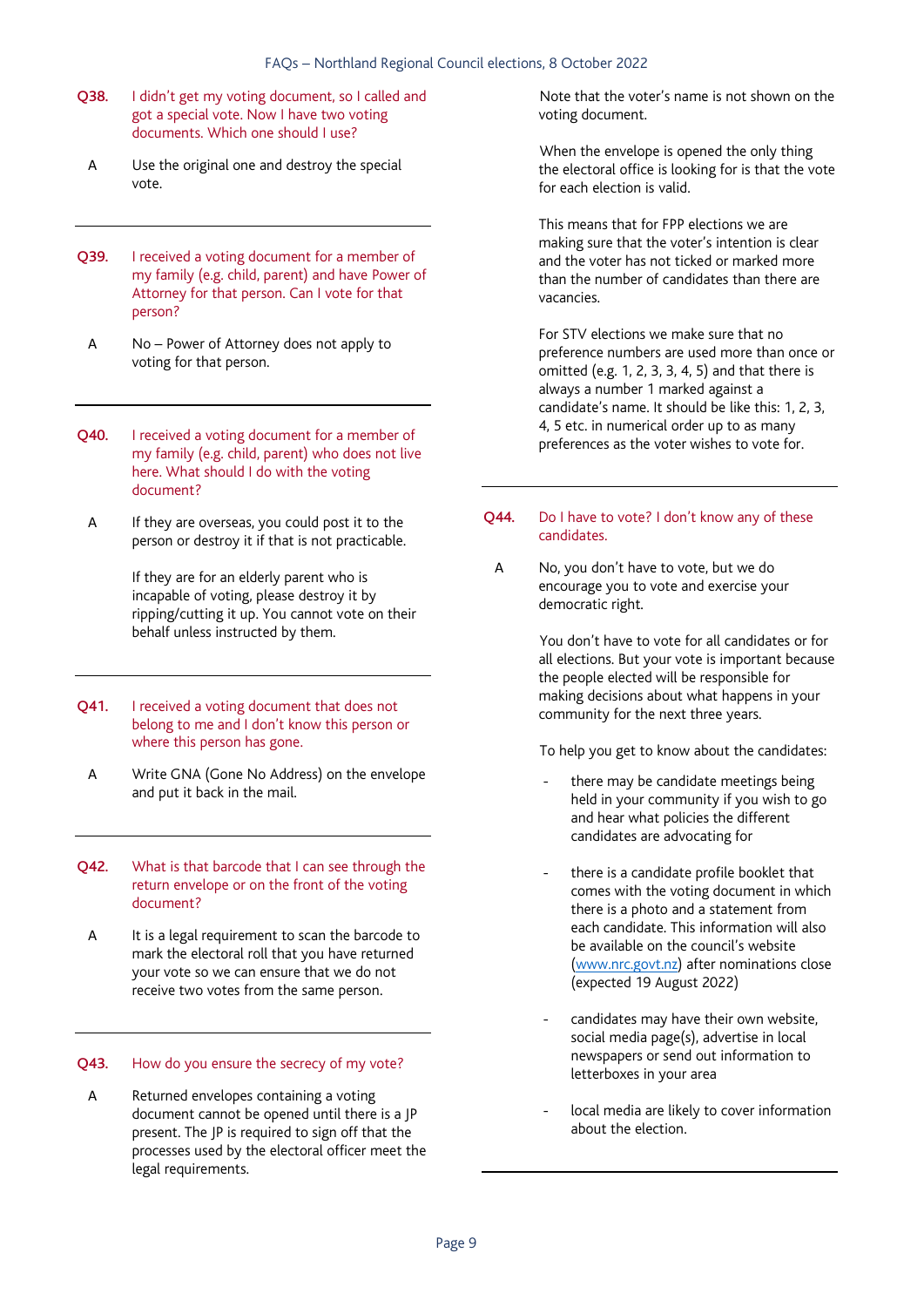- Q38. I didn't get my voting document, so I called and got a special vote. Now I have two voting documents. Which one should I use?
- A Use the original one and destroy the special vote.
- **Q39.** I received a voting document for a member of my family (e.g. child, parent) and have Power of Attorney for that person. Can I vote for that person?
- A No Power of Attorney does not apply to voting for that person.
- Q40. I received a voting document for a member of my family (e.g. child, parent) who does not live here. What should I do with the voting document?
	- A If they are overseas, you could post it to the person or destroy it if that is not practicable.

 If they are for an elderly parent who is incapable of voting, please destroy it by ripping/cutting it up. You cannot vote on their behalf unless instructed by them.

- Q41. I received a voting document that does not belong to me and I don't know this person or where this person has gone.
- A Write GNA (Gone No Address) on the envelope and put it back in the mail.
- Q42. What is that barcode that I can see through the return envelope or on the front of the voting document?
- A It is a legal requirement to scan the barcode to mark the electoral roll that you have returned your vote so we can ensure that we do not receive two votes from the same person.

#### Q43. How do you ensure the secrecy of my vote?

A Returned envelopes containing a voting document cannot be opened until there is a JP present. The JP is required to sign off that the processes used by the electoral officer meet the legal requirements.

 Note that the voter's name is not shown on the voting document.

 When the envelope is opened the only thing the electoral office is looking for is that the vote for each election is valid.

This means that for FPP elections we are making sure that the voter's intention is clear and the voter has not ticked or marked more than the number of candidates than there are vacancies.

For STV elections we make sure that no preference numbers are used more than once or omitted (e.g. 1, 2, 3, 3, 4, 5) and that there is always a number 1 marked against a candidate's name. It should be like this: 1, 2, 3, 4, 5 etc. in numerical order up to as many preferences as the voter wishes to vote for.

#### Q44. Do I have to vote? I don't know any of these candidates.

A No, you don't have to vote, but we do encourage you to vote and exercise your democratic right.

> You don't have to vote for all candidates or for all elections. But your vote is important because the people elected will be responsible for making decisions about what happens in your community for the next three years.

To help you get to know about the candidates:

- there may be candidate meetings being held in your community if you wish to go and hear what policies the different candidates are advocating for
- there is a candidate profile booklet that comes with the voting document in which there is a photo and a statement from each candidate. This information will also be available on the council's website (www.nrc.govt.nz) after nominations close (expected 19 August 2022)
- candidates may have their own website, social media page(s), advertise in local newspapers or send out information to letterboxes in your area
- local media are likely to cover information about the election.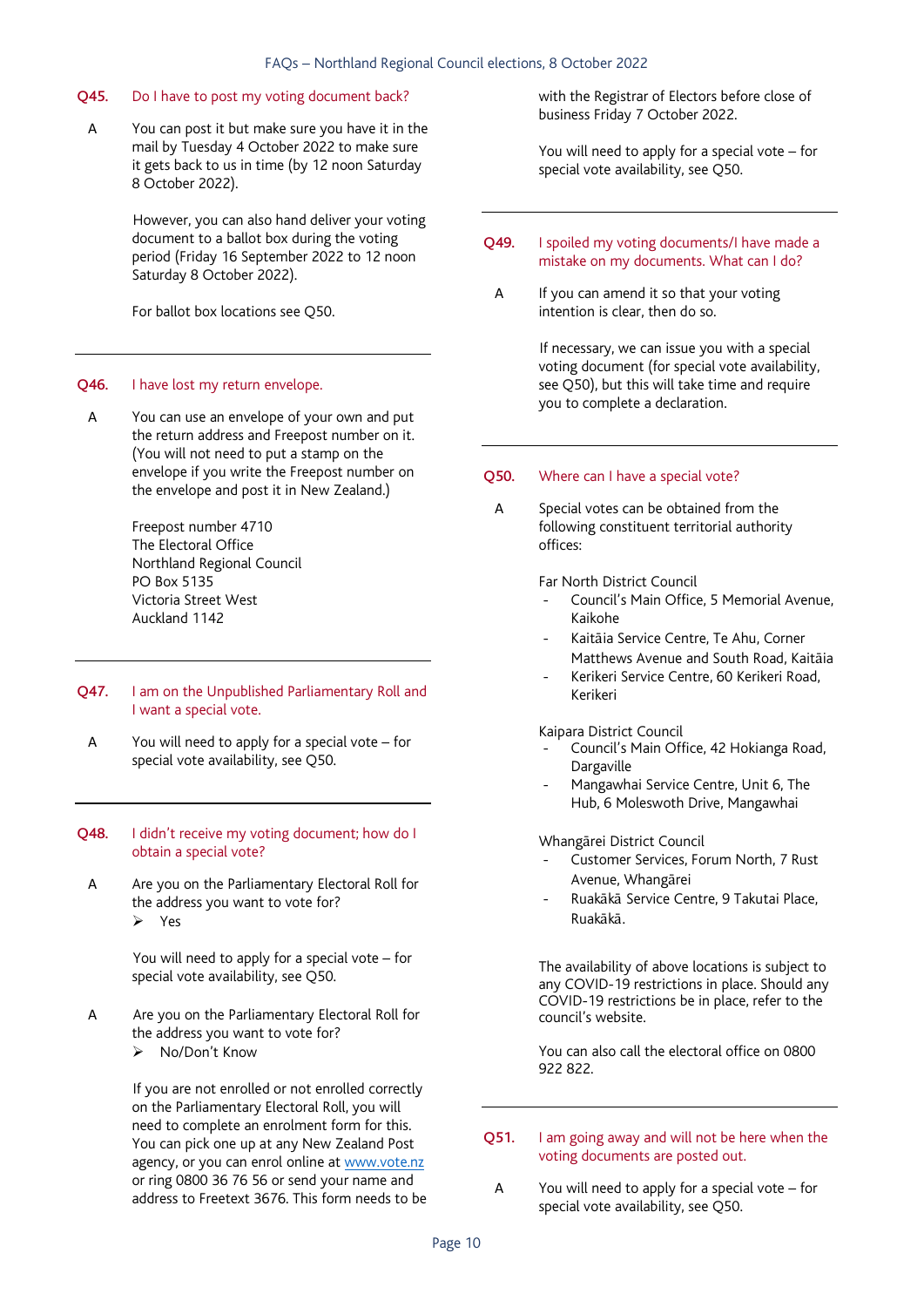#### Q45. Do I have to post my voting document back?

A You can post it but make sure you have it in the mail by Tuesday 4 October 2022 to make sure it gets back to us in time (by 12 noon Saturday 8 October 2022).

> However, you can also hand deliver your voting document to a ballot box during the voting period (Friday 16 September 2022 to 12 noon Saturday 8 October 2022).

For ballot box locations see Q50.

#### Q46. I have lost my return envelope.

A You can use an envelope of your own and put the return address and Freepost number on it. (You will not need to put a stamp on the envelope if you write the Freepost number on the envelope and post it in New Zealand.)

> Freepost number 4710 The Electoral Office Northland Regional Council PO Box 5135 Victoria Street West Auckland 1142

- Q47. I am on the Unpublished Parliamentary Roll and I want a special vote.
- A You will need to apply for a special vote for special vote availability, see Q50.
- Q48. I didn't receive my voting document; how do I obtain a special vote?
- A Are you on the Parliamentary Electoral Roll for the address you want to vote for?  $Y_{\text{P}}$

 You will need to apply for a special vote – for special vote availability, see Q50.

A Are you on the Parliamentary Electoral Roll for the address you want to vote for? No/Don't Know

> If you are not enrolled or not enrolled correctly on the Parliamentary Electoral Roll, you will need to complete an enrolment form for this. You can pick one up at any New Zealand Post agency, or you can enrol online at www.vote.nz or ring 0800 36 76 56 or send your name and address to Freetext 3676. This form needs to be

with the Registrar of Electors before close of business Friday 7 October 2022.

You will need to apply for a special vote – for special vote availability, see Q50.

- Q49. I spoiled my voting documents/I have made a mistake on my documents. What can I do?
	- A If you can amend it so that your voting intention is clear, then do so.

 If necessary, we can issue you with a special voting document (for special vote availability, see Q50), but this will take time and require you to complete a declaration.

#### Q50. Where can I have a special vote?

A Special votes can be obtained from the following constituent territorial authority offices:

Far North District Council

- Council's Main Office, 5 Memorial Avenue, Kaikohe
- Kaitāia Service Centre, Te Ahu, Corner Matthews Avenue and South Road, Kaitāia
- Kerikeri Service Centre, 60 Kerikeri Road, Kerikeri

Kaipara District Council

- Council's Main Office, 42 Hokianga Road, Dargaville
- Mangawhai Service Centre, Unit 6, The Hub, 6 Moleswoth Drive, Mangawhai

Whangārei District Council

- Customer Services, Forum North, 7 Rust Avenue, Whangārei
- Ruakākā Service Centre, 9 Takutai Place, Ruakākā.

The availability of above locations is subject to any COVID-19 restrictions in place. Should any COVID-19 restrictions be in place, refer to the council's website.

You can also call the electoral office on 0800 922 822.

#### Q51. I am going away and will not be here when the voting documents are posted out.

A You will need to apply for a special vote – for special vote availability, see Q50.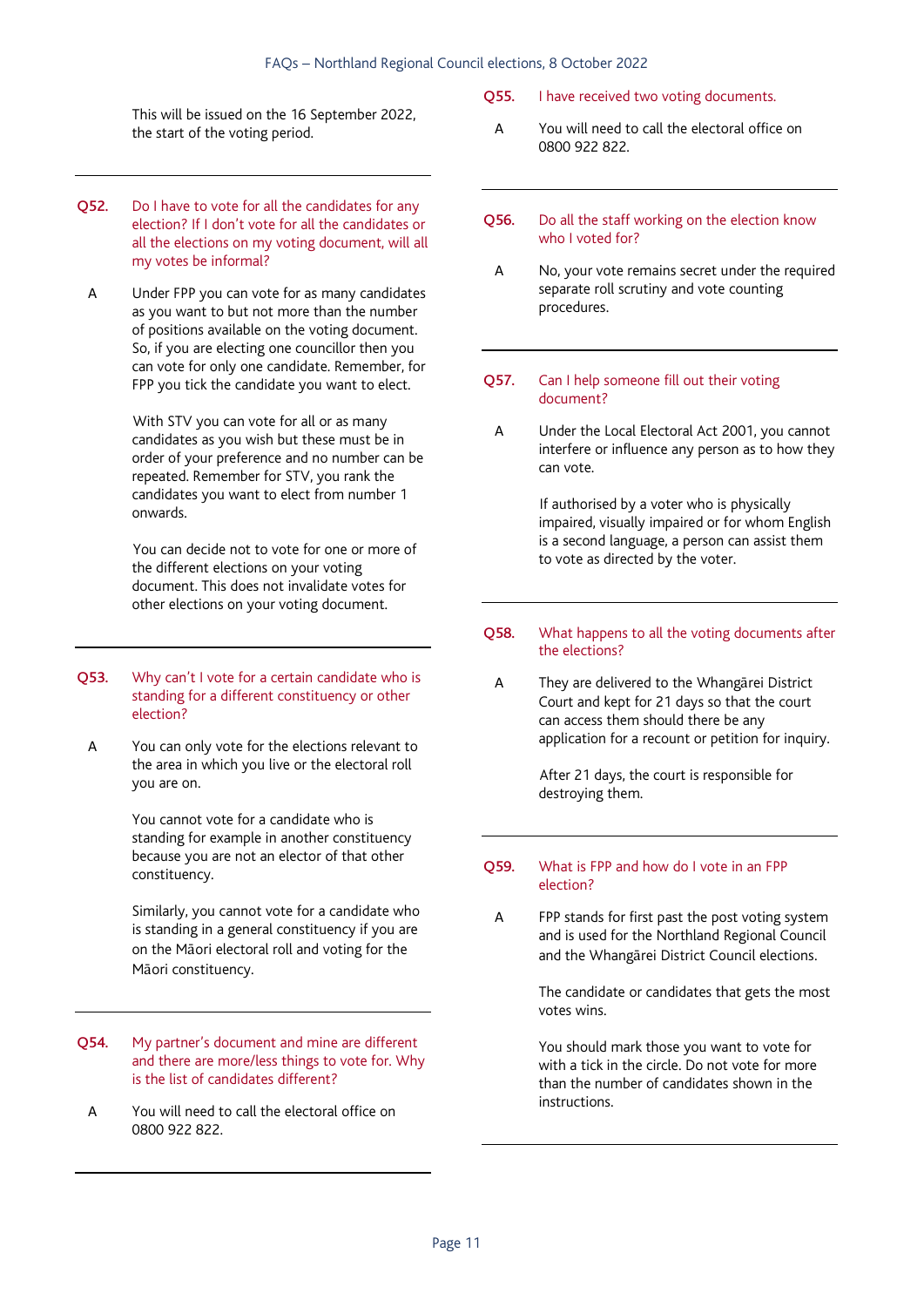This will be issued on the 16 September 2022, the start of the voting period.

- Q52. Do I have to vote for all the candidates for any election? If I don't vote for all the candidates or all the elections on my voting document, will all my votes be informal?
	- A Under FPP you can vote for as many candidates as you want to but not more than the number of positions available on the voting document. So, if you are electing one councillor then you can vote for only one candidate. Remember, for FPP you tick the candidate you want to elect.

 With STV you can vote for all or as many candidates as you wish but these must be in order of your preference and no number can be repeated. Remember for STV, you rank the candidates you want to elect from number 1 onwards.

 You can decide not to vote for one or more of the different elections on your voting document. This does not invalidate votes for other elections on your voting document.

- Q53. Why can't I vote for a certain candidate who is standing for a different constituency or other election?
	- A You can only vote for the elections relevant to the area in which you live or the electoral roll you are on.

You cannot vote for a candidate who is standing for example in another constituency because you are not an elector of that other constituency.

Similarly, you cannot vote for a candidate who is standing in a general constituency if you are on the Māori electoral roll and voting for the Māori constituency.

- Q54. My partner's document and mine are different and there are more/less things to vote for. Why is the list of candidates different?
- A You will need to call the electoral office on 0800 922 822.

#### Q55. I have received two voting documents.

- A You will need to call the electoral office on 0800 922 822.
- Q56. Do all the staff working on the election know who I voted for?
- A No, your vote remains secret under the required separate roll scrutiny and vote counting procedures.
- Q57. Can I help someone fill out their voting document?
	- A Under the Local Electoral Act 2001, you cannot interfere or influence any person as to how they can vote.

 If authorised by a voter who is physically impaired, visually impaired or for whom English is a second language, a person can assist them to vote as directed by the voter.

#### Q58. What happens to all the voting documents after the elections?

A They are delivered to the Whangārei District Court and kept for 21 days so that the court can access them should there be any application for a recount or petition for inquiry.

> After 21 days, the court is responsible for destroying them.

#### Q59. What is FPP and how do I vote in an FPP election?

A FPP stands for first past the post voting system and is used for the Northland Regional Council and the Whangārei District Council elections.

> The candidate or candidates that gets the most votes wins.

You should mark those you want to vote for with a tick in the circle. Do not vote for more than the number of candidates shown in the instructions.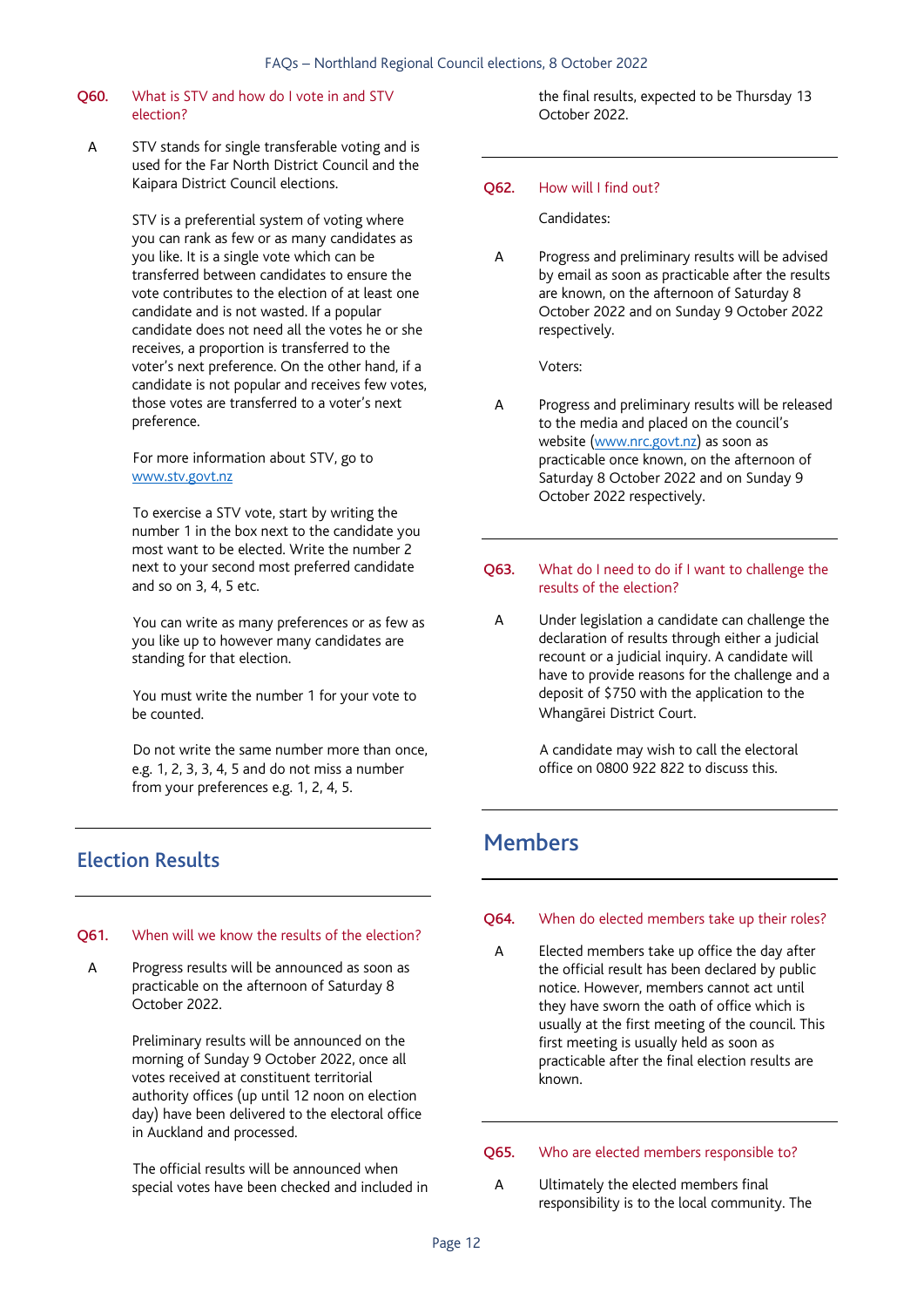#### Q60. What is STV and how do I vote in and STV election?

A STV stands for single transferable voting and is used for the Far North District Council and the Kaipara District Council elections.

> STV is a preferential system of voting where you can rank as few or as many candidates as you like. It is a single vote which can be transferred between candidates to ensure the vote contributes to the election of at least one candidate and is not wasted. If a popular candidate does not need all the votes he or she receives, a proportion is transferred to the voter's next preference. On the other hand, if a candidate is not popular and receives few votes, those votes are transferred to a voter's next preference.

 For more information about STV, go to www.stv.govt.nz

 To exercise a STV vote, start by writing the number 1 in the box next to the candidate you most want to be elected. Write the number 2 next to your second most preferred candidate and so on 3, 4, 5 etc.

 You can write as many preferences or as few as you like up to however many candidates are standing for that election.

 You must write the number 1 for your vote to be counted.

 Do not write the same number more than once, e.g. 1, 2, 3, 3, 4, 5 and do not miss a number from your preferences e.g. 1, 2, 4, 5.

## Election Results

#### Q61. When will we know the results of the election?

A Progress results will be announced as soon as practicable on the afternoon of Saturday 8 October 2022.

> Preliminary results will be announced on the morning of Sunday 9 October 2022, once all votes received at constituent territorial authority offices (up until 12 noon on election day) have been delivered to the electoral office in Auckland and processed.

 The official results will be announced when special votes have been checked and included in the final results, expected to be Thursday 13 October 2022.

#### O62. How will I find out?

Candidates:

A Progress and preliminary results will be advised by email as soon as practicable after the results are known, on the afternoon of Saturday 8 October 2022 and on Sunday 9 October 2022 respectively.

Voters:

- A Progress and preliminary results will be released to the media and placed on the council's website (www.nrc.govt.nz) as soon as practicable once known, on the afternoon of Saturday 8 October 2022 and on Sunday 9 October 2022 respectively.
- Q63. What do I need to do if I want to challenge the results of the election?
	- A Under legislation a candidate can challenge the declaration of results through either a judicial recount or a judicial inquiry. A candidate will have to provide reasons for the challenge and a deposit of \$750 with the application to the Whangārei District Court.

 A candidate may wish to call the electoral office on 0800 922 822 to discuss this.

## Members

#### Q64. When do elected members take up their roles?

A Elected members take up office the day after the official result has been declared by public notice. However, members cannot act until they have sworn the oath of office which is usually at the first meeting of the council. This first meeting is usually held as soon as practicable after the final election results are known.

#### Q65. Who are elected members responsible to?

A Ultimately the elected members final responsibility is to the local community. The